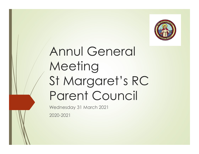

## Annul General Meeting St Margaret's RC Parent Council

Wednesday 31 March 2021

2020-2021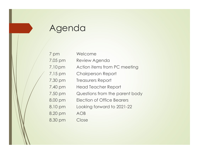### Agenda

| Agenda                         |
|--------------------------------|
|                                |
|                                |
|                                |
| Welcome                        |
| Review Agenda                  |
| Action items from PC meeting   |
| <b>Chairperson Report</b>      |
| Treasurers Report              |
| Head Teacher Report            |
| Questions from the parent body |
| Election of Office Bearers     |
| Looking forward to 2021-22     |
| AOB                            |
| Close                          |
|                                |
|                                |
|                                |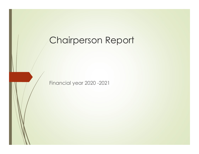#### Chairperson Report

Financial year 2020 -2021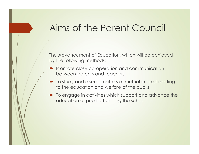#### Aims of the Parent Council

The Advancement of Education, which will be achieved by the following methods:

- Promote close co-operation and communication between parents and teachers
- $\blacksquare$  To study and discuss matters of mutual interest relating to the education and welfare of the pupils
- $\blacksquare$  To engage in activities which support and advance the education of pupils attending the school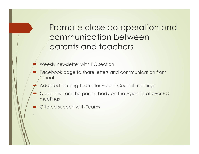Promote close co-operation and communication between parents and teachers

- Weekly newsletter with PC section
- Facebook page to share letters and communication from school
- Adapted to using Teams for Parent Council meetings
- Questions from the parent body on the Agenda at ever PC meetings
- Offered support with Teams

∙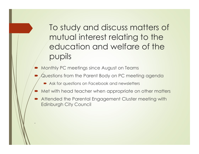To study and discuss matters of mutual interest relating to the education and welfare of the pupils

**Monthly PC meetings since August on Teams** 

∙

- Questions from the Parent Body on PC meeting agenda
	- Ask for questions on Facebook and newsletters
- Met with head teacher when appropriate on other matters
- Attended the Parental Engagement Cluster meeting with Edinburgh City Council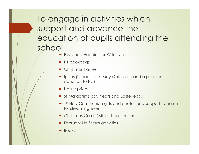To engage in activities which support and advance the education of pupils attending the school. **gage in activities which**<br>
Dr and advance the<br>
ation of pupils attending the<br>
DI.<br>
Piza and Hoodies for P7 leavers<br>
PI bookbags<br>
Christmas Parties<br>
Dlads (2 ipads from May Quiz funds and a generous<br>
donation to PC)<br>
Nouse

- **Pizza and Hoodies for P7 leavers**
- P1 bookbags
- Christmas Parties
- donation to PC)
- House prizes
- St Margaret's day treats and Easter eggs
- **•** 1st Holy Communion gifts and photos and support to parish for streaming event
- Christmas Cards (with school support)
- **February Half-term activities**
- **Books**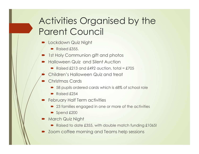#### Activities Organised by the Parent Council

- /Lockdown Quiz Night
	- $\blacktriangleright$  Raised £355.
- 1st Holy Communion gift and photos
- **Halloween Quiz and Silent Auction** 
	- Raised  $£213$  and  $£492$  auction, total = £705
	- Children's Halloween Quiz and treat
- Christmas Cards
	- 58 pupils ordered cards which is 68% of school role
	- Raised £254
- **February Half Term activities** 
	- 23 families engaged in one or more of the activities
	- $\triangleright$  Spend £200
- **March Quiz Night** 
	- Raised to date £355, with double match funding £1065!
- **DED Zoom coffee morning and Teams help sessions**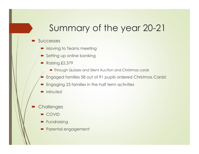#### Summary of the year 20-21

#### Successes

- $\blacktriangleright$  Moving to Teams meeting
- **Setting up online banking**
- Raising £2,379
	- **Through Quizzes and Silent Auction and Christmas cards**
- Engaged families 58 out of 91 pupils ordered Christmas Cards!
- **Engaging 23 families in the half term activities**
- Minutes!
- **Challenges** 
	- COVID
	- **Fundraising**
	- Parental engagement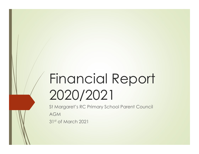## Financial Report 2020/2021

St Margaret's RC Primary School Parent Council AGM 31st of March 2021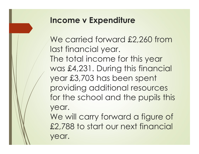#### Income v Expenditure

We carried forward £2,260 from last financial year. The total income for this year was £4,231. During this financial year £3,703 has been spent providing additional resources for the school and the pupils this year.

We will carry forward a figure of £2,788 to start our next financial year.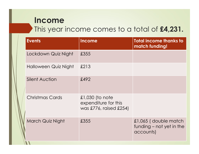#### Income

#### This year income comes to a total of £4,231.

| Income<br>This year income comes to a total of £4,231. |                                                                   |                                                               |  |
|--------------------------------------------------------|-------------------------------------------------------------------|---------------------------------------------------------------|--|
|                                                        |                                                                   |                                                               |  |
| Lockdown Quiz Night                                    | £355                                                              |                                                               |  |
| Halloween Quiz Night                                   | £213                                                              |                                                               |  |
| <b>Silent Auction</b>                                  | £492                                                              |                                                               |  |
| <b>Christmas Cards</b>                                 | £1,030 (to note<br>expenditure for this<br>was £776, raised £254) |                                                               |  |
| March Quiz Night                                       | £355                                                              | £1,065 (double match<br>funding – not yet in the<br>accounts) |  |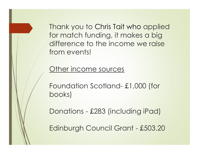Thank you to Chris Tait who applied for match funding, it makes a big difference to the income we raise from events! Thank you to Chris Tait who applied<br>for match funding, it makes a big<br>difference to the income we raise<br>from events!<br>Other income sources<br>Foundation Scotland- £1,000 (for<br>books)

Other income sources

books) From events!<br>
Dther income sources<br>
Foundation Scotland- £1,000 (for<br>
books)<br>
Donations - £283 (including iPad)<br>
Edinburgh Council Grant - £503.20 Other income sources<br>Foundation Scotland- £1,000 (for<br>books)<br>Donations - £283 (including iPad)<br>Edinburgh Council Grant - £503.20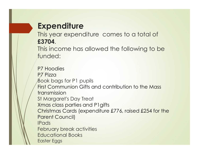#### **Expenditure**

This year expenditure comes to a total of £3704.

This income has allowed the following to be funded:

P7 Hoodies P7 Pizza Book bags for P1 pupils First Communion Gifts and contribution to the Mass transmission St Margaret's Day Treat Xmas class parties and P1gifts Christmas Cards (expenditure £776, raised £254 for the Parent Council) IPads February break activities Educational Books Easter Eggs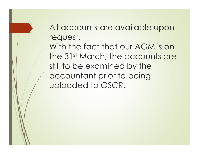All accounts are available upon request.

With the fact that our AGM is on the 31st March, the accounts are still to be examined by the accountant prior to being uploaded to OSCR.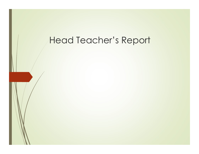#### Head Teacher's Report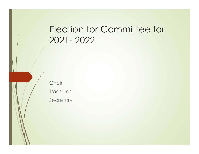# Election for Committee for Election for Committee fo<br>2021- 2022

**Chair Treasurer** 

**Secretary**